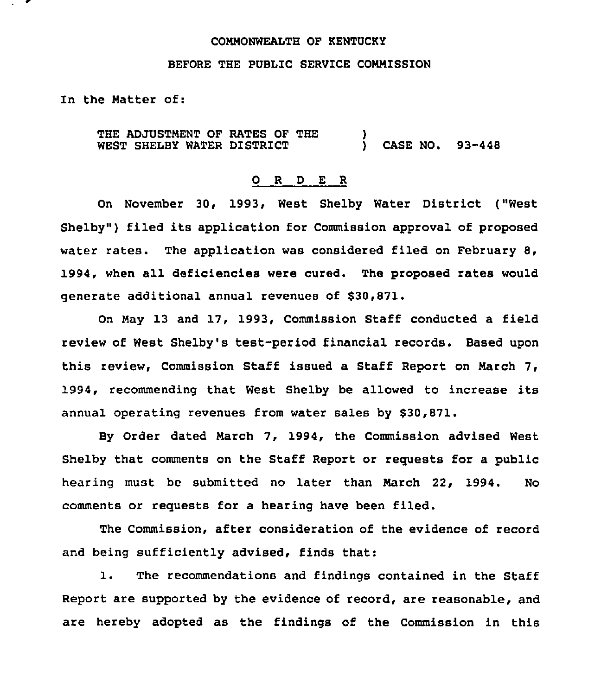### COMMONWEALTH OF KENTUCKY

### BEFORE THE PUBLIC SERVICE COMMISSION

In the Matter of:

THE ADJUSTMENT OF RATES OF THE WEST SHELBY WATER DISTRICT  $\mathbf{S}$ ) CASE NO. 93-448

## 0 <sup>R</sup> <sup>D</sup> E <sup>R</sup>

On November 30, 1993, West Shelby Water District ("West Shelby") filed its application for Commission approval of proposed water rates. The application was considered filed on February 8, 1994, when all deficiencies were cured. The proposed rates would generate additional annual revenues of \$30,871.

On May 13 and 17, 1993, Commission Staff conducted a field review of West Shelby's test-period financial records. Based upon this review, Commission Staff issued a Staff Report on March 7, 1994, recommending that West Shelby be allowed to increase its annual operating revenues from water sales by \$30,871.

By Order dated March 7, 1994, the Commission advised West Shelby that comments on the Staff Report or requests for a public hearing must be submitted no later than March 22, 1994. No comments or requests for a hearing have been filed.

The Commission, after consideration of the evidence of record and being sufficiently advised, finds that:

1. The recommendations and findings contained in the Staff Report are supported by the evidence of record, are reasonable, and are hereby adopted as the findings of the Commission in this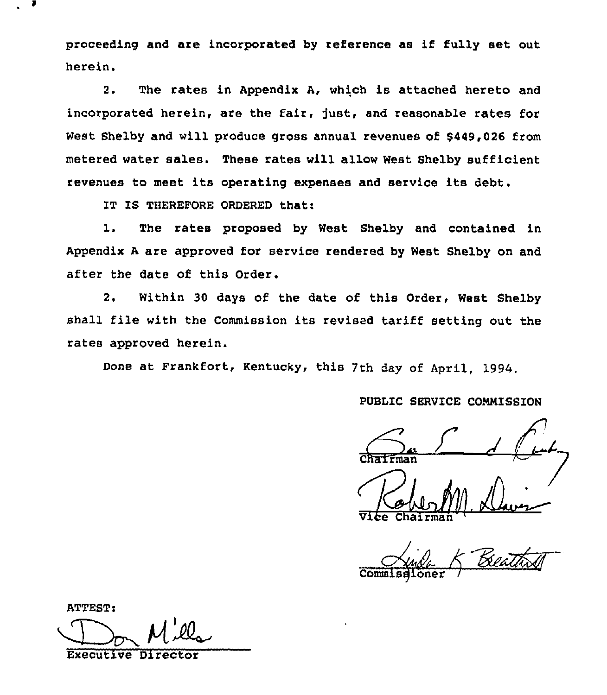proceeding and are incorporated by reference as if fully set out herein.

2. The rates in Appendix A, which is attached hereto and incorporated herein, are the fair, just, and reasonable rates for West Shelby and will produce gross annual revenues of \$449,026 from metered water sales. These rates will allow West Shelby sufficient revenues to meet its operating expenses and service its debt.

IT IS THEREFORE ORDERED that:

1. The rates proposed by West Shelby and contained in Appendix <sup>A</sup> are approved for service rendered by West Shelby on and after the date of this Order.

2. Within 30 days of the date of this Order, West Shelby shall file with the Commission its revised tariff setting out the rates approved herein.

Done at Frankfort, Kentucky, this 7th day of April, 1994.

PUBLIC SERVICE COMMISSION

Vice  $\frac{1}{2}$ Chairma M. Davis

 $\overline{\mathcal{L}}$ / <u> BeathS</u>

Commisgione

**ATTEST:** Executive Dir